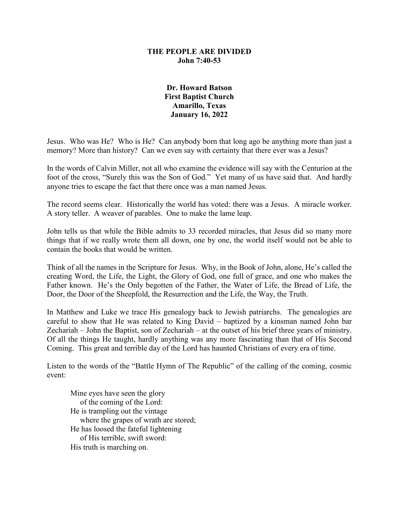## **THE PEOPLE ARE DIVIDED John 7:40-53**

## **Dr. Howard Batson First Baptist Church Amarillo, Texas January 16, 2022**

Jesus. Who was He? Who is He? Can anybody born that long ago be anything more than just a memory? More than history? Can we even say with certainty that there ever was a Jesus?

In the words of Calvin Miller, not all who examine the evidence will say with the Centurion at the foot of the cross, "Surely this was the Son of God." Yet many of us have said that. And hardly anyone tries to escape the fact that there once was a man named Jesus.

The record seems clear. Historically the world has voted: there was a Jesus. A miracle worker. A story teller. A weaver of parables. One to make the lame leap.

John tells us that while the Bible admits to 33 recorded miracles, that Jesus did so many more things that if we really wrote them all down, one by one, the world itself would not be able to contain the books that would be written.

Think of all the names in the Scripture for Jesus. Why, in the Book of John, alone, He's called the creating Word, the Life, the Light, the Glory of God, one full of grace, and one who makes the Father known. He's the Only begotten of the Father, the Water of Life, the Bread of Life, the Door, the Door of the Sheepfold, the Resurrection and the Life, the Way, the Truth.

In Matthew and Luke we trace His genealogy back to Jewish patriarchs. The genealogies are careful to show that He was related to King David – baptized by a kinsman named John bar Zechariah – John the Baptist, son of Zechariah – at the outset of his brief three years of ministry. Of all the things He taught, hardly anything was any more fascinating than that of His Second Coming. This great and terrible day of the Lord has haunted Christians of every era of time.

Listen to the words of the "Battle Hymn of The Republic" of the calling of the coming, cosmic event:

Mine eyes have seen the glory of the coming of the Lord: He is trampling out the vintage where the grapes of wrath are stored; He has loosed the fateful lightening of His terrible, swift sword: His truth is marching on.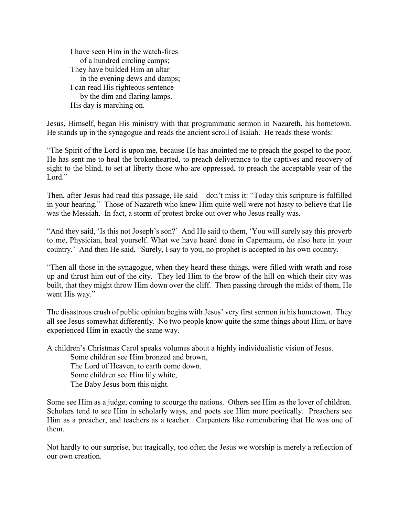I have seen Him in the watch-fires of a hundred circling camps; They have builded Him an altar in the evening dews and damps; I can read His righteous sentence by the dim and flaring lamps. His day is marching on.

Jesus, Himself, began His ministry with that programmatic sermon in Nazareth, his hometown. He stands up in the synagogue and reads the ancient scroll of Isaiah. He reads these words:

"The Spirit of the Lord is upon me, because He has anointed me to preach the gospel to the poor. He has sent me to heal the brokenhearted, to preach deliverance to the captives and recovery of sight to the blind, to set at liberty those who are oppressed, to preach the acceptable year of the Lord."

Then, after Jesus had read this passage, He said – don't miss it: "Today this scripture is fulfilled in your hearing." Those of Nazareth who knew Him quite well were not hasty to believe that He was the Messiah. In fact, a storm of protest broke out over who Jesus really was.

"And they said, 'Is this not Joseph's son?' And He said to them, 'You will surely say this proverb to me, Physician, heal yourself. What we have heard done in Capernaum, do also here in your country.' And then He said, "Surely, I say to you, no prophet is accepted in his own country.

"Then all those in the synagogue, when they heard these things, were filled with wrath and rose up and thrust him out of the city. They led Him to the brow of the hill on which their city was built, that they might throw Him down over the cliff. Then passing through the midst of them, He went His way."

The disastrous crush of public opinion begins with Jesus' very first sermon in his hometown. They all see Jesus somewhat differently. No two people know quite the same things about Him, or have experienced Him in exactly the same way.

A children's Christmas Carol speaks volumes about a highly individualistic vision of Jesus.

Some children see Him bronzed and brown,

The Lord of Heaven, to earth come down.

Some children see Him lily white,

The Baby Jesus born this night.

Some see Him as a judge, coming to scourge the nations. Others see Him as the lover of children. Scholars tend to see Him in scholarly ways, and poets see Him more poetically. Preachers see Him as a preacher, and teachers as a teacher. Carpenters like remembering that He was one of them.

Not hardly to our surprise, but tragically, too often the Jesus we worship is merely a reflection of our own creation.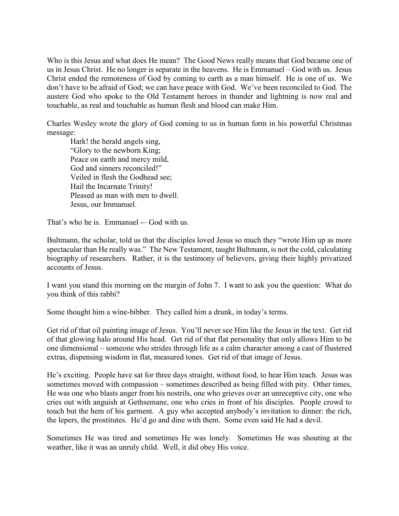Who is this Jesus and what does He mean? The Good News really means that God became one of us in Jesus Christ. He no longer is separate in the heavens. He is Emmanuel – God with us. Jesus Christ ended the remoteness of God by coming to earth as a man himself. He is one of us. We don't have to be afraid of God; we can have peace with God. We've been reconciled to God. The austere God who spoke to the Old Testament heroes in thunder and lightning is now real and touchable, as real and touchable as human flesh and blood can make Him.

Charles Wesley wrote the glory of God coming to us in human form in his powerful Christmas message:

Hark! the herald angels sing, "Glory to the newborn King; Peace on earth and mercy mild, God and sinners reconciled!" Veiled in flesh the Godhead see; Hail the Incarnate Trinity! Pleased as man with men to dwell. Jesus, our Immanuel.

That's who he is. Emmanuel — God with us.

Bultmann, the scholar, told us that the disciples loved Jesus so much they "wrote Him up as more spectacular than He really was." The New Testament, taught Bultmann, is not the cold, calculating biography of researchers. Rather, it is the testimony of believers, giving their highly privatized accounts of Jesus.

I want you stand this morning on the margin of John 7. I want to ask you the question: What do you think of this rabbi?

Some thought him a wine-bibber. They called him a drunk, in today's terms.

Get rid of that oil painting image of Jesus. You'll never see Him like the Jesus in the text. Get rid of that glowing halo around His head. Get rid of that flat personality that only allows Him to be one dimensional – someone who strides through life as a calm character among a cast of flustered extras, dispensing wisdom in flat, measured tones. Get rid of that image of Jesus.

He's exciting. People have sat for three days straight, without food, to hear Him teach. Jesus was sometimes moved with compassion – sometimes described as being filled with pity. Other times, He was one who blasts anger from his nostrils, one who grieves over an unreceptive city, one who cries out with anguish at Gethsemane, one who cries in front of his disciples. People crowd to touch but the hem of his garment. A guy who accepted anybody's invitation to dinner: the rich, the lepers, the prostitutes. He'd go and dine with them. Some even said He had a devil.

Sometimes He was tired and sometimes He was lonely. Sometimes He was shouting at the weather, like it was an unruly child. Well, it did obey His voice.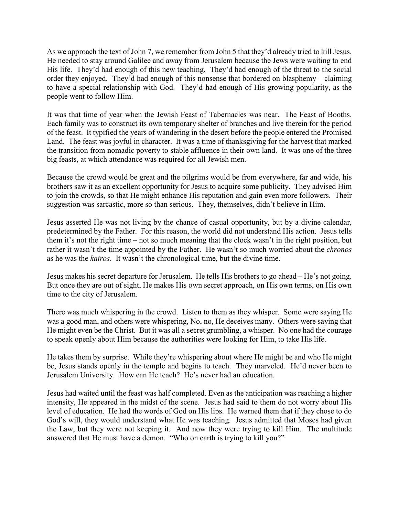As we approach the text of John 7, we remember from John 5 that they'd already tried to kill Jesus. He needed to stay around Galilee and away from Jerusalem because the Jews were waiting to end His life. They'd had enough of this new teaching. They'd had enough of the threat to the social order they enjoyed. They'd had enough of this nonsense that bordered on blasphemy – claiming to have a special relationship with God. They'd had enough of His growing popularity, as the people went to follow Him.

It was that time of year when the Jewish Feast of Tabernacles was near. The Feast of Booths. Each family was to construct its own temporary shelter of branches and live therein for the period of the feast. It typified the years of wandering in the desert before the people entered the Promised Land. The feast was joyful in character. It was a time of thanksgiving for the harvest that marked the transition from nomadic poverty to stable affluence in their own land. It was one of the three big feasts, at which attendance was required for all Jewish men.

Because the crowd would be great and the pilgrims would be from everywhere, far and wide, his brothers saw it as an excellent opportunity for Jesus to acquire some publicity. They advised Him to join the crowds, so that He might enhance His reputation and gain even more followers. Their suggestion was sarcastic, more so than serious. They, themselves, didn't believe in Him.

Jesus asserted He was not living by the chance of casual opportunity, but by a divine calendar, predetermined by the Father. For this reason, the world did not understand His action. Jesus tells them it's not the right time – not so much meaning that the clock wasn't in the right position, but rather it wasn't the time appointed by the Father. He wasn't so much worried about the *chronos* as he was the *kairos*. It wasn't the chronological time, but the divine time.

Jesus makes his secret departure for Jerusalem. He tells His brothers to go ahead – He's not going. But once they are out of sight, He makes His own secret approach, on His own terms, on His own time to the city of Jerusalem.

There was much whispering in the crowd. Listen to them as they whisper. Some were saying He was a good man, and others were whispering, No, no, He deceives many. Others were saying that He might even be the Christ. But it was all a secret grumbling, a whisper. No one had the courage to speak openly about Him because the authorities were looking for Him, to take His life.

He takes them by surprise. While they're whispering about where He might be and who He might be, Jesus stands openly in the temple and begins to teach. They marveled. He'd never been to Jerusalem University. How can He teach? He's never had an education.

Jesus had waited until the feast was half completed. Even as the anticipation was reaching a higher intensity, He appeared in the midst of the scene. Jesus had said to them do not worry about His level of education. He had the words of God on His lips. He warned them that if they chose to do God's will, they would understand what He was teaching. Jesus admitted that Moses had given the Law, but they were not keeping it. And now they were trying to kill Him. The multitude answered that He must have a demon. "Who on earth is trying to kill you?"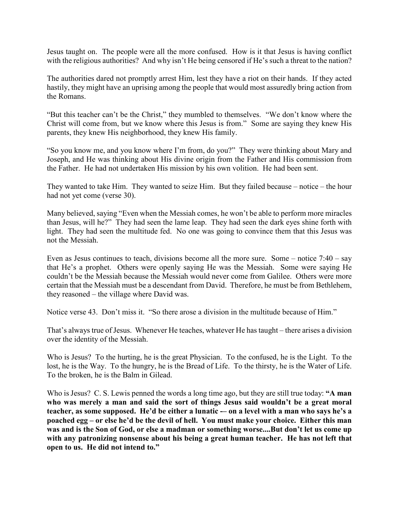Jesus taught on. The people were all the more confused. How is it that Jesus is having conflict with the religious authorities? And why isn't He being censored if He's such a threat to the nation?

The authorities dared not promptly arrest Him, lest they have a riot on their hands. If they acted hastily, they might have an uprising among the people that would most assuredly bring action from the Romans.

"But this teacher can't be the Christ," they mumbled to themselves. "We don't know where the Christ will come from, but we know where this Jesus is from." Some are saying they knew His parents, they knew His neighborhood, they knew His family.

"So you know me, and you know where I'm from, do you?" They were thinking about Mary and Joseph, and He was thinking about His divine origin from the Father and His commission from the Father. He had not undertaken His mission by his own volition. He had been sent.

They wanted to take Him. They wanted to seize Him. But they failed because – notice – the hour had not yet come (verse 30).

Many believed, saying "Even when the Messiah comes, he won't be able to perform more miracles than Jesus, will he?" They had seen the lame leap. They had seen the dark eyes shine forth with light. They had seen the multitude fed. No one was going to convince them that this Jesus was not the Messiah.

Even as Jesus continues to teach, divisions become all the more sure. Some – notice 7:40 – say that He's a prophet. Others were openly saying He was the Messiah. Some were saying He couldn't be the Messiah because the Messiah would never come from Galilee. Others were more certain that the Messiah must be a descendant from David. Therefore, he must be from Bethlehem, they reasoned – the village where David was.

Notice verse 43. Don't miss it. "So there arose a division in the multitude because of Him."

That's always true of Jesus. Whenever He teaches, whatever He has taught – there arises a division over the identity of the Messiah.

Who is Jesus? To the hurting, he is the great Physician. To the confused, he is the Light. To the lost, he is the Way. To the hungry, he is the Bread of Life. To the thirsty, he is the Water of Life. To the broken, he is the Balm in Gilead.

Who is Jesus? C. S. Lewis penned the words a long time ago, but they are still true today: **"A man who was merely a man and said the sort of things Jesus said wouldn't be a great moral**  teacher, as some supposed. He'd be either a lunatic -- on a level with a man who says he's a **poached egg – or else he'd be the devil of hell. You must make your choice. Either this man was and is the Son of God, or else a madman or something worse....But don't let us come up with any patronizing nonsense about his being a great human teacher. He has not left that open to us. He did not intend to."**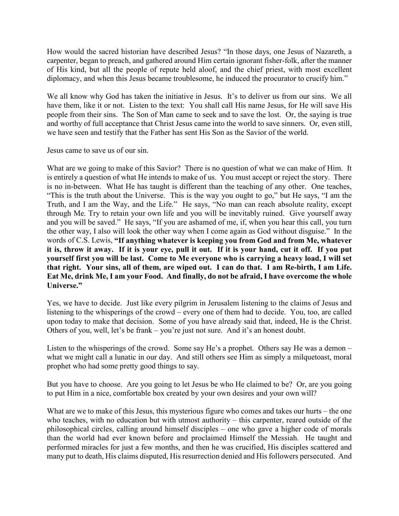How would the sacred historian have described Jesus? "In those days, one Jesus of Nazareth, a carpenter, began to preach, and gathered around Him certain ignorant fisher-folk, after the manner of His kind, but all the people of repute held aloof, and the chief priest, with most excellent diplomacy, and when this Jesus became troublesome, he induced the procurator to crucify him."

We all know why God has taken the initiative in Jesus. It's to deliver us from our sins. We all have them, like it or not. Listen to the text: You shall call His name Jesus, for He will save His people from their sins. The Son of Man came to seek and to save the lost. Or, the saying is true and worthy of full acceptance that Christ Jesus came into the world to save sinners. Or, even still, we have seen and testify that the Father has sent His Son as the Savior of the world.

Jesus came to save us of our sin.

What are we going to make of this Savior? There is no question of what we can make of Him. It is entirely a question of what He intends to make of us. You must accept or reject the story. There is no in-between. What He has taught is different than the teaching of any other. One teaches, "This is the truth about the Universe. This is the way you ought to go," but He says, "I am the Truth, and I am the Way, and the Life." He says, "No man can reach absolute reality, except through Me. Try to retain your own life and you will be inevitably ruined. Give yourself away and you will be saved." He says, "If you are ashamed of me, if, when you hear this call, you turn the other way, I also will look the other way when I come again as God without disguise." In the words of C.S. Lewis, **"If anything whatever is keeping you from God and from Me, whatever it is, throw it away. If it is your eye, pull it out. If it is your hand, cut it off. If you put yourself first you will be last. Come to Me everyone who is carrying a heavy load, I will set that right. Your sins, all of them, are wiped out. I can do that. I am Re-birth, I am Life. Eat Me, drink Me, I am your Food. And finally, do not be afraid, I have overcome the whole Universe."**

Yes, we have to decide. Just like every pilgrim in Jerusalem listening to the claims of Jesus and listening to the whisperings of the crowd – every one of them had to decide. You, too, are called upon today to make that decision. Some of you have already said that, indeed, He is the Christ. Others of you, well, let's be frank – you're just not sure. And it's an honest doubt.

Listen to the whisperings of the crowd. Some say He's a prophet. Others say He was a demon – what we might call a lunatic in our day. And still others see Him as simply a milquetoast, moral prophet who had some pretty good things to say.

But you have to choose. Are you going to let Jesus be who He claimed to be? Or, are you going to put Him in a nice, comfortable box created by your own desires and your own will?

What are we to make of this Jesus, this mysterious figure who comes and takes our hurts – the one who teaches, with no education but with utmost authority – this carpenter, reared outside of the philosophical circles, calling around himself disciples – one who gave a higher code of morals than the world had ever known before and proclaimed Himself the Messiah. He taught and performed miracles for just a few months, and then he was crucified, His disciples scattered and many put to death, His claims disputed, His resurrection denied and His followers persecuted. And